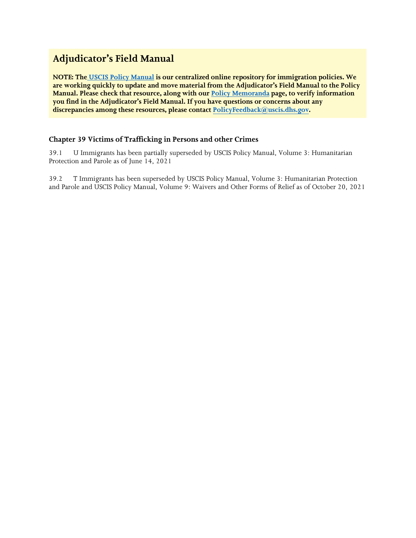# **Adjudicator's Field Manual**

**NOTE: Th[e](https://www.uscis.gov/policy-manual) [USCIS Policy Manual](https://www.uscis.gov/policy-manual) is our centralized online repository for immigration policies. We are working quickly to update and move material from the Adjudicator's Field Manual to the Policy Manual. Please check that resource, along with our [Policy Memoranda](https://www.uscis.gov/legal-resources/policy-memoranda) page, to verify information you find in the Adjudicator's Field Manual. If you have questions or concerns about any discrepancies among these resources, please contact PolicyFeedback[@uscis.dhs.gov.](mailto:PolicyFeedback@uscis.dhs.gov)** 

# **Chapter 39 Victims of Trafficking in Persons and other Crimes**

39.1 U Immigrants has been partially superseded by USCIS Policy Manual, Volume 3: Humanitarian Protection and Parole as of June 14, 2021

39.2 T Immigrants has been superseded by USCIS Policy Manual, Volume 3: Humanitarian Protection and Parole and USCIS Policy Manual, Volume 9: Waivers and Other Forms of Relief as of October 20, 2021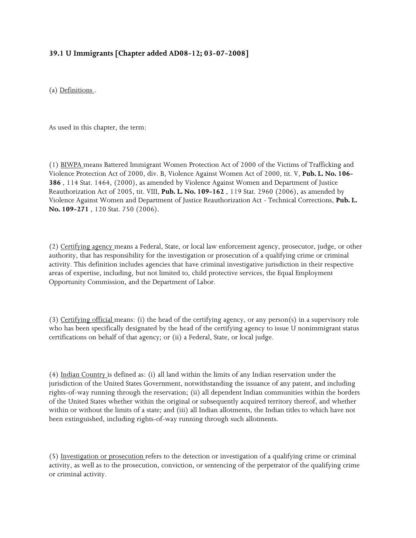# **39.1 U Immigrants [Chapter added AD08-12; 03-07-2008]**

(a) Definitions .

As used in this chapter, the term:

(1) BIWPA means Battered Immigrant Women Protection Act of 2000 of the Victims of Trafficking and Violence Protection Act of 2000, div. B, Violence Against Women Act of 2000, tit. V, **Pub. L. No. 106- 386** , 114 Stat. 1464, (2000), as amended by Violence Against Women and Department of Justice Reauthorization Act of 2005, tit. VIII, **Pub. L. No. 109-162** , 119 Stat. 2960 (2006), as amended by Violence Against Women and Department of Justice Reauthorization Act - Technical Corrections, **Pub. L. No. 109-271** , 120 Stat. 750 (2006).

(2) Certifying agency means a Federal, State, or local law enforcement agency, prosecutor, judge, or other authority, that has responsibility for the investigation or prosecution of a qualifying crime or criminal activity. This definition includes agencies that have criminal investigative jurisdiction in their respective areas of expertise, including, but not limited to, child protective services, the Equal Employment Opportunity Commission, and the Department of Labor.

(3) Certifying official means: (i) the head of the certifying agency, or any person(s) in a supervisory role who has been specifically designated by the head of the certifying agency to issue U nonimmigrant status certifications on behalf of that agency; or (ii) a Federal, State, or local judge.

(4) Indian Country is defined as: (i) all land within the limits of any Indian reservation under the jurisdiction of the United States Government, notwithstanding the issuance of any patent, and including rights-of-way running through the reservation; (ii) all dependent Indian communities within the borders of the United States whether within the original or subsequently acquired territory thereof, and whether within or without the limits of a state; and (iii) all Indian allotments, the Indian titles to which have not been extinguished, including rights-of-way running through such allotments.

(5) Investigation or prosecution refers to the detection or investigation of a qualifying crime or criminal activity, as well as to the prosecution, conviction, or sentencing of the perpetrator of the qualifying crime or criminal activity.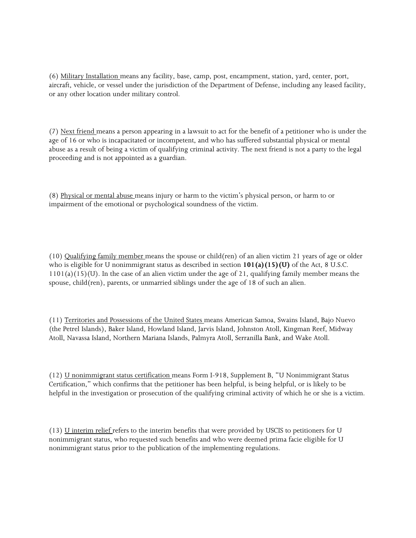(6) Military Installation means any facility, base, camp, post, encampment, station, yard, center, port, aircraft, vehicle, or vessel under the jurisdiction of the Department of Defense, including any leased facility, or any other location under military control.

(7) Next friend means a person appearing in a lawsuit to act for the benefit of a petitioner who is under the age of 16 or who is incapacitated or incompetent, and who has suffered substantial physical or mental abuse as a result of being a victim of qualifying criminal activity. The next friend is not a party to the legal proceeding and is not appointed as a guardian.

(8) Physical or mental abuse means injury or harm to the victim's physical person, or harm to or impairment of the emotional or psychological soundness of the victim.

(10) Qualifying family member means the spouse or child(ren) of an alien victim 21 years of age or older who is eligible for U nonimmigrant status as described in section **101(a)(15)(U)** of the Act, 8 U.S.C.  $1101(a)(15)(U)$ . In the case of an alien victim under the age of 21, qualifying family member means the spouse, child(ren), parents, or unmarried siblings under the age of 18 of such an alien.

(11) Territories and Possessions of the United States means American Samoa, Swains Island, Bajo Nuevo (the Petrel Islands), Baker Island, Howland Island, Jarvis Island, Johnston Atoll, Kingman Reef, Midway Atoll, Navassa Island, Northern Mariana Islands, Palmyra Atoll, Serranilla Bank, and Wake Atoll.

(12) U nonimmigrant status certification means Form I-918, Supplement B, "U Nonimmigrant Status Certification," which confirms that the petitioner has been helpful, is being helpful, or is likely to be helpful in the investigation or prosecution of the qualifying criminal activity of which he or she is a victim.

(13) U interim relief refers to the interim benefits that were provided by USCIS to petitioners for U nonimmigrant status, who requested such benefits and who were deemed prima facie eligible for U nonimmigrant status prior to the publication of the implementing regulations.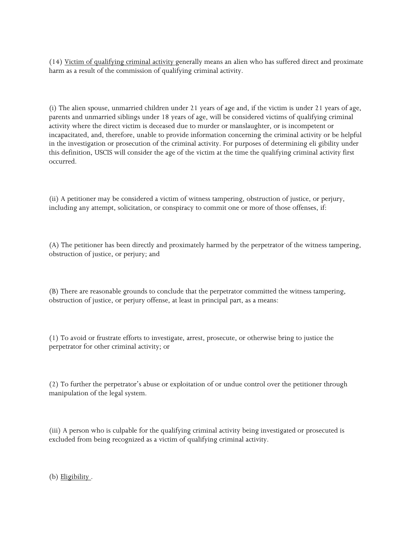(14) Victim of qualifying criminal activity generally means an alien who has suffered direct and proximate harm as a result of the commission of qualifying criminal activity.

(i) The alien spouse, unmarried children under 21 years of age and, if the victim is under 21 years of age, parents and unmarried siblings under 18 years of age, will be considered victims of qualifying criminal activity where the direct victim is deceased due to murder or manslaughter, or is incompetent or incapacitated, and, therefore, unable to provide information concerning the criminal activity or be helpful in the investigation or prosecution of the criminal activity. For purposes of determining eli gibility under this definition, USCIS will consider the age of the victim at the time the qualifying criminal activity first occurred.

(ii) A petitioner may be considered a victim of witness tampering, obstruction of justice, or perjury, including any attempt, solicitation, or conspiracy to commit one or more of those offenses, if:

(A) The petitioner has been directly and proximately harmed by the perpetrator of the witness tampering, obstruction of justice, or perjury; and

(B) There are reasonable grounds to conclude that the perpetrator committed the witness tampering, obstruction of justice, or perjury offense, at least in principal part, as a means:

(1) To avoid or frustrate efforts to investigate, arrest, prosecute, or otherwise bring to justice the perpetrator for other criminal activity; or

(2) To further the perpetrator's abuse or exploitation of or undue control over the petitioner through manipulation of the legal system.

(iii) A person who is culpable for the qualifying criminal activity being investigated or prosecuted is excluded from being recognized as a victim of qualifying criminal activity.

(b) Eligibility.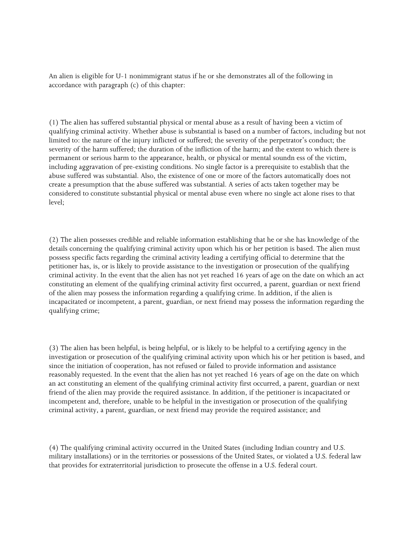An alien is eligible for U-1 nonimmigrant status if he or she demonstrates all of the following in accordance with paragraph (c) of this chapter:

(1) The alien has suffered substantial physical or mental abuse as a result of having been a victim of qualifying criminal activity. Whether abuse is substantial is based on a number of factors, including but not limited to: the nature of the injury inflicted or suffered; the severity of the perpetrator's conduct; the severity of the harm suffered; the duration of the infliction of the harm; and the extent to which there is permanent or serious harm to the appearance, health, or physical or mental soundn ess of the victim, including aggravation of pre-existing conditions. No single factor is a prerequisite to establish that the abuse suffered was substantial. Also, the existence of one or more of the factors automatically does not create a presumption that the abuse suffered was substantial. A series of acts taken together may be considered to constitute substantial physical or mental abuse even where no single act alone rises to that level;

(2) The alien possesses credible and reliable information establishing that he or she has knowledge of the details concerning the qualifying criminal activity upon which his or her petition is based. The alien must possess specific facts regarding the criminal activity leading a certifying official to determine that the petitioner has, is, or is likely to provide assistance to the investigation or prosecution of the qualifying criminal activity. In the event that the alien has not yet reached 16 years of age on the date on which an act constituting an element of the qualifying criminal activity first occurred, a parent, guardian or next friend of the alien may possess the information regarding a qualifying crime. In addition, if the alien is incapacitated or incompetent, a parent, guardian, or next friend may possess the information regarding the qualifying crime;

(3) The alien has been helpful, is being helpful, or is likely to be helpful to a certifying agency in the investigation or prosecution of the qualifying criminal activity upon which his or her petition is based, and since the initiation of cooperation, has not refused or failed to provide information and assistance reasonably requested. In the event that the alien has not yet reached 16 years of age on the date on which an act constituting an element of the qualifying criminal activity first occurred, a parent, guardian or next friend of the alien may provide the required assistance. In addition, if the petitioner is incapacitated or incompetent and, therefore, unable to be helpful in the investigation or prosecution of the qualifying criminal activity, a parent, guardian, or next friend may provide the required assistance; and

(4) The qualifying criminal activity occurred in the United States (including Indian country and U.S. military installations) or in the territories or possessions of the United States, or violated a U.S. federal law that provides for extraterritorial jurisdiction to prosecute the offense in a U.S. federal court.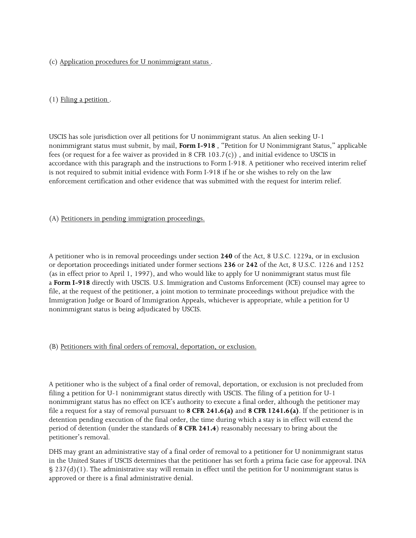(c) Application procedures for U nonimmigrant status .

(1) Filing a petition .

USCIS has sole jurisdiction over all petitions for U nonimmigrant status. An alien seeking U-1 nonimmigrant status must submit, by mail, **Form I-918** , "Petition for U Nonimmigrant Status," applicable fees (or request for a fee waiver as provided in 8 CFR 103.7(c)) , and initial evidence to USCIS in accordance with this paragraph and the instructions to Form I-918. A petitioner who received interim relief is not required to submit initial evidence with Form I-918 if he or she wishes to rely on the law enforcement certification and other evidence that was submitted with the request for interim relief.

(A) Petitioners in pending immigration proceedings.

A petitioner who is in removal proceedings under section **240** of the Act, 8 U.S.C. 1229a, or in exclusion or deportation proceedings initiated under former sections **236** or **242** of the Act, 8 U.S.C. 1226 and 1252 (as in effect prior to April 1, 1997), and who would like to apply for U nonimmigrant status must file a **Form I-918** directly with USCIS. U.S. Immigration and Customs Enforcement (ICE) counsel may agree to file, at the request of the petitioner, a joint motion to terminate proceedings without prejudice with the Immigration Judge or Board of Immigration Appeals, whichever is appropriate, while a petition for U nonimmigrant status is being adjudicated by USCIS.

(B) Petitioners with final orders of removal, deportation, or exclusion.

A petitioner who is the subject of a final order of removal, deportation, or exclusion is not precluded from filing a petition for U-1 nonimmigrant status directly with USCIS. The filing of a petition for U-1 nonimmigrant status has no effect on ICE's authority to execute a final order, although the petitioner may file a request for a stay of removal pursuant to **8 CFR 241.6(a)** and **8 CFR 1241.6(a)**. If the petitioner is in detention pending execution of the final order, the time during which a stay is in effect will extend the period of detention (under the standards of **8 CFR 241.4**) reasonably necessary to bring about the petitioner's removal.

DHS may grant an administrative stay of a final order of removal to a petitioner for U nonimmigrant status in the United States if USCIS determines that the petitioner has set forth a prima facie case for approval. INA § 237(d)(1). The administrative stay will remain in effect until the petition for U nonimmigrant status is approved or there is a final administrative denial.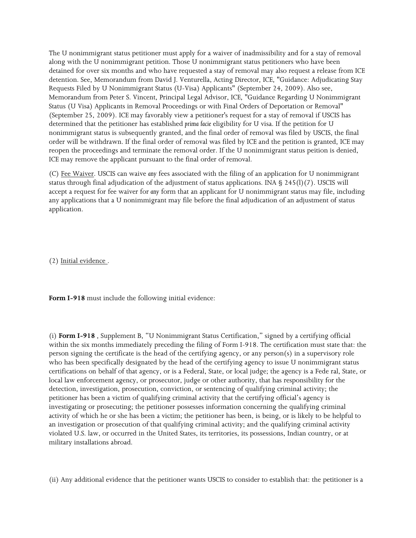The U nonimmigrant status petitioner must apply for a waiver of inadmissibility and for a stay of removal along with the U nonimmigrant petition. Those U nonimmigrant status petitioners who have been detained for over six months and who have requested a stay of removal may also request a release from ICE detention. See, Memorandum from David J. Venturella, Acting Director, ICE, "Guidance: Adjudicating Stay Requests Filed by U Nonimmigrant Status (U-Visa) Applicants" (September 24, 2009). Also see, Memorandum from Peter S. Vincent, Principal Legal Advisor, ICE, "Guidance Regarding U Nonimmigrant Status (U Visa) Applicants in Removal Proceedings or with Final Orders of Deportation or Removal" (September 25, 2009). ICE may favorably view a petitioner's request for a stay of removal if USCIS has determined that the petitioner has established *prima facie* eligibility for U visa. If the petition for U nonimmigrant status is subsequently granted, and the final order of removal was filed by USCIS, the final order will be withdrawn. If the final order of removal was filed by ICE and the petition is granted, ICE may reopen the proceedings and terminate the removal order. If the U nonimmigrant status peition is denied, ICE may remove the applicant pursuant to the final order of removal.

(C) Fee Waiver. USCIS can waive *any* fees associated with the filing of an application for U nonimmigrant status through final adjudication of the adjustment of status applications. INA § 245(l)(7). USCIS will accept a request for fee waiver for *any* form that an applicant for U nonimmigrant status may file, including any applications that a U nonimmigrant may file before the final adjudication of an adjustment of status application.

(2) Initial evidence .

**Form I-918** must include the following initial evidence:

(i) **Form I-918** , Supplement B, "U Nonimmigrant Status Certification," signed by a certifying official within the six months immediately preceding the filing of Form I-918. The certification must state that: the person signing the certificate is the head of the certifying agency, or any person(s) in a supervisory role who has been specifically designated by the head of the certifying agency to issue U nonimmigrant status certifications on behalf of that agency, or is a Federal, State, or local judge; the agency is a Fede ral, State, or local law enforcement agency, or prosecutor, judge or other authority, that has responsibility for the detection, investigation, prosecution, conviction, or sentencing of qualifying criminal activity; the petitioner has been a victim of qualifying criminal activity that the certifying official's agency is investigating or prosecuting; the petitioner possesses information concerning the qualifying criminal activity of which he or she has been a victim; the petitioner has been, is being, or is likely to be helpful to an investigation or prosecution of that qualifying criminal activity; and the qualifying criminal activity violated U.S. law, or occurred in the United States, its territories, its possessions, Indian country, or at military installations abroad.

(ii) Any additional evidence that the petitioner wants USCIS to consider to establish that: the petitioner is a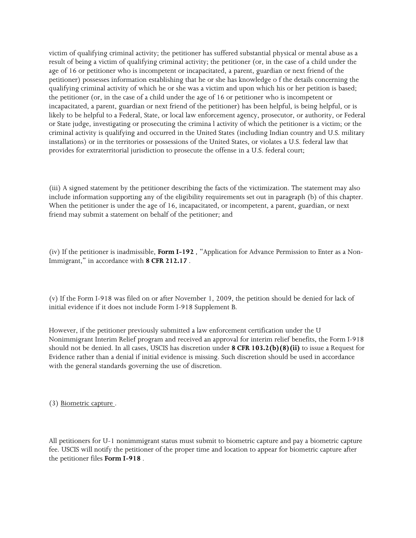victim of qualifying criminal activity; the petitioner has suffered substantial physical or mental abuse as a result of being a victim of qualifying criminal activity; the petitioner (or, in the case of a child under the age of 16 or petitioner who is incompetent or incapacitated, a parent, guardian or next friend of the petitioner) possesses information establishing that he or she has knowledge o f the details concerning the qualifying criminal activity of which he or she was a victim and upon which his or her petition is based; the petitioner (or, in the case of a child under the age of 16 or petitioner who is incompetent or incapacitated, a parent, guardian or next friend of the petitioner) has been helpful, is being helpful, or is likely to be helpful to a Federal, State, or local law enforcement agency, prosecutor, or authority, or Federal or State judge, investigating or prosecuting the crimina l activity of which the petitioner is a victim; or the criminal activity is qualifying and occurred in the United States (including Indian country and U.S. military installations) or in the territories or possessions of the United States, or violates a U.S. federal law that provides for extraterritorial jurisdiction to prosecute the offense in a U.S. federal court;

(iii) A signed statement by the petitioner describing the facts of the victimization. The statement may also include information supporting any of the eligibility requirements set out in paragraph (b) of this chapter. When the petitioner is under the age of 16, incapacitated, or incompetent, a parent, guardian, or next friend may submit a statement on behalf of the petitioner; and

(iv) If the petitioner is inadmissible, **Form I-192** , "Application for Advance Permission to Enter as a Non-Immigrant," in accordance with **8 CFR 212.17** .

(v) If the Form I-918 was filed on or after November 1, 2009, the petition should be denied for lack of initial evidence if it does not include Form I-918 Supplement B.

However, if the petitioner previously submitted a law enforcement certification under the U Nonimmigrant Interim Relief program and received an approval for interim relief benefits, the Form I-918 should not be denied. In all cases, USCIS has discretion under **8 CFR 103.2(b)(8)(ii)** to issue a Request for Evidence rather than a denial if initial evidence is missing. Such discretion should be used in accordance with the general standards governing the use of discretion.

(3) Biometric capture .

All petitioners for U-1 nonimmigrant status must submit to biometric capture and pay a biometric capture fee. USCIS will notify the petitioner of the proper time and location to appear for biometric capture after the petitioner files **Form I-918** .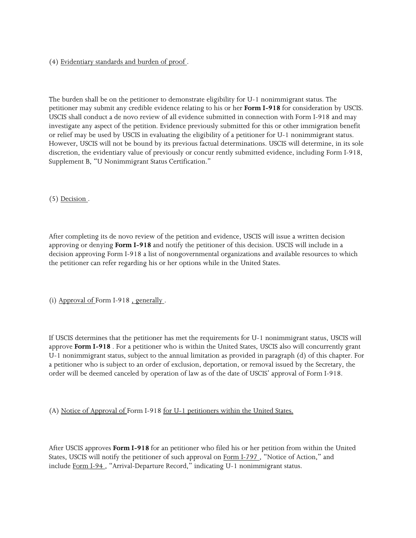### (4) Evidentiary standards and burden of proof .

The burden shall be on the petitioner to demonstrate eligibility for U-1 nonimmigrant status. The petitioner may submit any credible evidence relating to his or her **Form I-918** for consideration by USCIS. USCIS shall conduct a de novo review of all evidence submitted in connection with Form I-918 and may investigate any aspect of the petition. Evidence previously submitted for this or other immigration benefit or relief may be used by USCIS in evaluating the eligibility of a petitioner for U-1 nonimmigrant status. However, USCIS will not be bound by its previous factual determinations. USCIS will determine, in its sole discretion, the evidentiary value of previously or concur rently submitted evidence, including Form I-918, Supplement B, "U Nonimmigrant Status Certification."

(5) Decision .

After completing its de novo review of the petition and evidence, USCIS will issue a written decision approving or denying **Form I-918** and notify the petitioner of this decision. USCIS will include in a decision approving Form I-918 a list of nongovernmental organizations and available resources to which the petitioner can refer regarding his or her options while in the United States.

(i) Approval of Form I-918 , generally .

If USCIS determines that the petitioner has met the requirements for U-1 nonimmigrant status, USCIS will approve **Form I-918** . For a petitioner who is within the United States, USCIS also will concurrently grant U-1 nonimmigrant status, subject to the annual limitation as provided in paragraph (d) of this chapter. For a petitioner who is subject to an order of exclusion, deportation, or removal issued by the Secretary, the order will be deemed canceled by operation of law as of the date of USCIS' approval of Form I-918.

(A) Notice of Approval of Form I-918 for U-1 petitioners within the United States.

After USCIS approves **Form I-918** for an petitioner who filed his or her petition from within the United States, USCIS will notify the petitioner of such approval on Form I-797 , "Notice of Action," and include Form I-94 , "Arrival-Departure Record," indicating U-1 nonimmigrant status.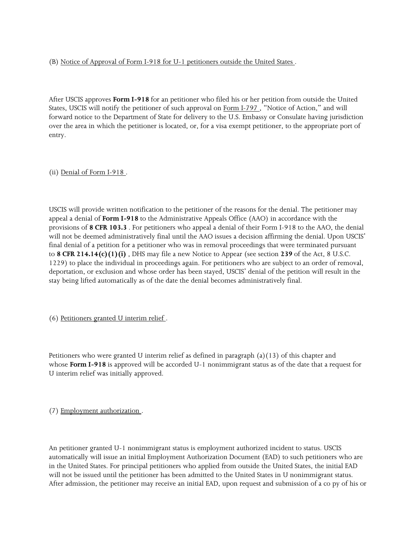(B) Notice of Approval of Form I-918 for U-1 petitioners outside the United States .

After USCIS approves **Form I-918** for an petitioner who filed his or her petition from outside the United States, USCIS will notify the petitioner of such approval on Form I-797, "Notice of Action," and will forward notice to the Department of State for delivery to the U.S. Embassy or Consulate having jurisdiction over the area in which the petitioner is located, or, for a visa exempt petitioner, to the appropriate port of entry.

(ii) Denial of Form I-918 .

USCIS will provide written notification to the petitioner of the reasons for the denial. The petitioner may appeal a denial of **Form I-918** to the Administrative Appeals Office (AAO) in accordance with the provisions of **8 CFR 103.3** . For petitioners who appeal a denial of their Form I-918 to the AAO, the denial will not be deemed administratively final until the AAO issues a decision affirming the denial. Upon USCIS' final denial of a petition for a petitioner who was in removal proceedings that were terminated pursuant to **8 CFR 214.14(c)(1)(i)** , DHS may file a new Notice to Appear (see section **239** of the Act, 8 U.S.C. 1229) to place the individual in proceedings again. For petitioners who are subject to an order of removal, deportation, or exclusion and whose order has been stayed, USCIS' denial of the petition will result in the stay being lifted automatically as of the date the denial becomes administratively final.

(6) Petitioners granted U interim relief .

Petitioners who were granted U interim relief as defined in paragraph  $(a)(13)$  of this chapter and whose **Form I-918** is approved will be accorded U-1 nonimmigrant status as of the date that a request for U interim relief was initially approved.

(7) Employment authorization .

An petitioner granted U-1 nonimmigrant status is employment authorized incident to status. USCIS automatically will issue an initial Employment Authorization Document (EAD) to such petitioners who are in the United States. For principal petitioners who applied from outside the United States, the initial EAD will not be issued until the petitioner has been admitted to the United States in U nonimmigrant status. After admission, the petitioner may receive an initial EAD, upon request and submission of a co py of his or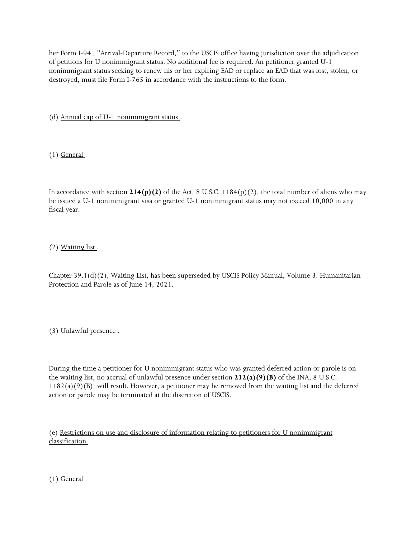her Form I-94, "Arrival-Departure Record," to the USCIS office having jurisdiction over the adjudication of petitions for U nonimmigrant status. No additional fee is required. An petitioner granted U-1 nonimmigrant status seeking to renew his or her expiring EAD or replace an EAD that was lost, stolen, or destroyed, must file Form I-765 in accordance with the instructions to the form.

(d) Annual cap of U-1 nonimmigrant status .

 $(1)$  General.

In accordance with section **214(p)(2)** of the Act, 8 U.S.C. 1184(p)(2), the total number of aliens who may be issued a U-1 nonimmigrant visa or granted U-1 nonimmigrant status may not exceed 10,000 in any fiscal year.

(2) Waiting list .

Chapter 39.1(d)(2), Waiting List, has been superseded by USCIS Policy Manual, Volume 3: Humanitarian Protection and Parole as of June 14, 2021.

(3) Unlawful presence .

During the time a petitioner for U nonimmigrant status who was granted deferred action or parole is on the waiting list, no accrual of unlawful presence under section **212(a)(9)(B)** of the INA, 8 U.S.C. 1182(a)(9)(B), will result. However, a petitioner may be removed from the waiting list and the deferred action or parole may be terminated at the discretion of USCIS.

(e) Restrictions on use and disclosure of information relating to petitioners for U nonimmigrant classification .

 $(1)$  General.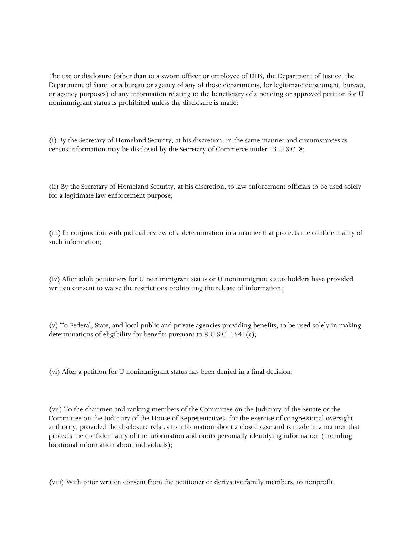The use or disclosure (other than to a sworn officer or employee of DHS, the Department of Justice, the Department of State, or a bureau or agency of any of those departments, for legitimate department, bureau, or agency purposes) of any information relating to the beneficiary of a pending or approved petition for U nonimmigrant status is prohibited unless the disclosure is made:

(i) By the Secretary of Homeland Security, at his discretion, in the same manner and circumstances as census information may be disclosed by the Secretary of Commerce under 13 U.S.C. 8;

(ii) By the Secretary of Homeland Security, at his discretion, to law enforcement officials to be used solely for a legitimate law enforcement purpose;

(iii) In conjunction with judicial review of a determination in a manner that protects the confidentiality of such information;

(iv) After adult petitioners for U nonimmigrant status or U nonimmigrant status holders have provided written consent to waive the restrictions prohibiting the release of information;

(v) To Federal, State, and local public and private agencies providing benefits, to be used solely in making determinations of eligibility for benefits pursuant to 8 U.S.C. 1641(c);

(vi) After a petition for U nonimmigrant status has been denied in a final decision;

(vii) To the chairmen and ranking members of the Committee on the Judiciary of the Senate or the Committee on the Judiciary of the House of Representatives, for the exercise of congressional oversight authority, provided the disclosure relates to information about a closed case and is made in a manner that protects the confidentiality of the information and omits personally identifying information (including locational information about individuals);

(viii) With prior written consent from the petitioner or derivative family members, to nonprofit,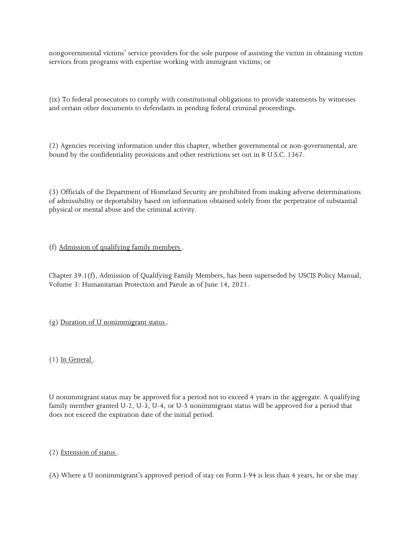nongovernmental victims' service providers for the sole purpose of assisting the victim in obtaining victim services from programs with expertise working with immigrant victims; or

(ix) To federal prosecutors to comply with constitutional obligations to provide statements by witnesses and certain other documents to defendants in pending federal criminal proceedings.

(2) Agencies receiving information under this chapter, whether governmental or non-governmental, are bound by the confidentiality provisions and other restrictions set out in 8 U.S.C. 1367.

(3) Officials of the Department of Homeland Security are prohibited from making adverse determinations of admissibility or deportability based on information obtained solely from the perpetrator of substantial physical or mental abuse and the criminal activity.

### (f) Admission of qualifying family members .

Chapter 39.1(f), Admission of Qualifying Family Members, has been superseded by USCIS Policy Manual, Volume 3: Humanitarian Protection and Parole as of June 14, 2021.

(g) Duration of U nonimmigrant status .

 $(1)$  In General.

U nonimmigrant status may be approved for a period not to exceed 4 years in the aggregate. A qualifying family member granted U-2, U-3, U-4, or U-5 nonimmigrant status will be approved for a period that does not exceed the expiration date of the initial period.

#### (2) Extension of status .

(A) Where a U nonimmigrant's approved period of stay on Form I-94 is less than 4 years, he or she may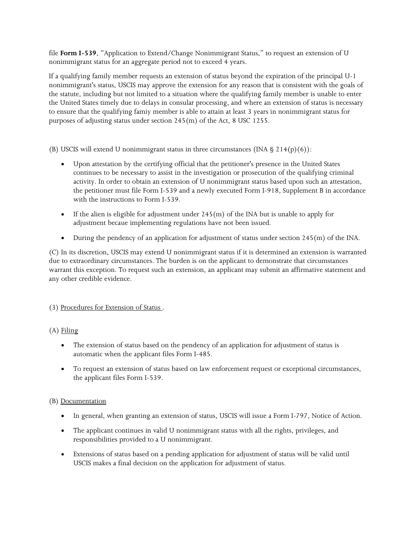file **Form I-539**, "Application to Extend/Change Nonimmigrant Status," to request an extension of U nonimmigrant status for an aggregate period not to exceed 4 years.

If a qualifying family member requests an extension of status beyond the expiration of the principal U-1 nonimmigrant's status, USCIS may approve the extension for any reason that is consistent with the goals of the statute, including but not limited to a situation where the qualifying family member is unable to enter the United States timely due to delays in consular processing, and where an extension of status is necessary to ensure that the qualifying famiy member is able to attain at least 3 years in nonimmigrant status for purposes of adjusting status under section 245(m) of the Act, 8 USC 1255.

(B) USCIS will extend U nonimmigrant status in three circumstances (INA  $\S$  214(p)(6)):

- Upon attestation by the certifying official that the petitioner's presence in the United States continues to be necessary to assist in the investigation or prosecution of the qualifying criminal activity. In order to obtain an extension of U nonimmigrant status based upon such an attestation, the petitioner must file Form I-539 and a newly executed Form I-918, Supplement B in accordance with the instructions to Form I-539.
- If the alien is eligible for adjustment under  $245(m)$  of the INA but is unable to apply for adjustment becaue implementing regulations have not been issued.
- During the pendency of an application for adjustment of status under section 245(m) of the INA.

(C) In its discretion, USCIS may extend U nonimmigrant status if it is determined an extension is warranted due to extraordinary circumstances. The burden is on the applicant to demonstrate that circumstances warrant this exception. To request such an extension, an applicant may submit an affirmative statement and any other credible evidence.

# (3) Procedures for Extension of Status .

# (A) Filing

- The extension of status based on the pendency of an application for adjustment of status is automatic when the applicant files Form I-485.
- To request an extension of status based on law enforcement request or exceptional circumstances, the applicant files Form I-539.

#### (B) Documentation

- In general, when granting an extension of status, USCIS will issue a Form I-797, Notice of Action.
- The applicant continues in valid U nonimmigrant status with all the rights, privileges, and responsibilities provided to a U nonimmigrant.
- Extensions of status based on a pending application for adjustment of status will be valid until USCIS makes a final decision on the application for adjustment of status.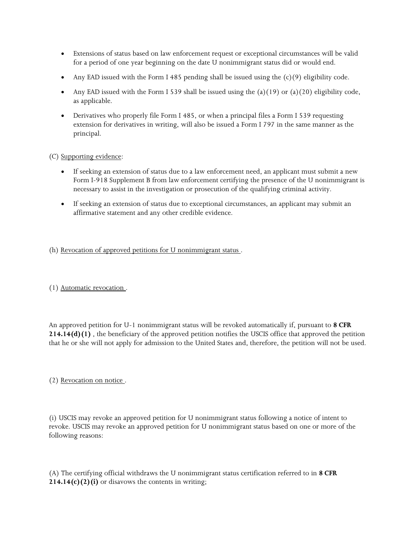- Extensions of status based on law enforcement request or exceptional circumstances will be valid for a period of one year beginning on the date U nonimmigrant status did or would end.
- Any EAD issued with the Form I 485 pending shall be issued using the  $(c)(9)$  eligibility code.
- Any EAD issued with the Form I 539 shall be issued using the (a)(19) or (a)(20) eligibility code, as applicable.
- Derivatives who properly file Form I 485, or when a principal files a Form I 539 requesting extension for derivatives in writing, will also be issued a Form I 797 in the same manner as the principal.

# (C) Supporting evidence:

- If seeking an extension of status due to a law enforcement need, an applicant must submit a new Form I-918 Supplement B from law enforcement certifying the presence of the U nonimmigrant is necessary to assist in the investigation or prosecution of the qualifying criminal activity.
- If seeking an extension of status due to exceptional circumstances, an applicant may submit an affirmative statement and any other credible evidence.

# (h) Revocation of approved petitions for U nonimmigrant status .

(1) Automatic revocation .

An approved petition for U-1 nonimmigrant status will be revoked automatically if, pursuant to **8 CFR 214.14(d)(1)** , the beneficiary of the approved petition notifies the USCIS office that approved the petition that he or she will not apply for admission to the United States and, therefore, the petition will not be used.

#### (2) Revocation on notice .

(i) USCIS may revoke an approved petition for U nonimmigrant status following a notice of intent to revoke. USCIS may revoke an approved petition for U nonimmigrant status based on one or more of the following reasons:

(A) The certifying official withdraws the U nonimmigrant status certification referred to in **8 CFR 214.14(c)(2)(i)** or disavows the contents in writing;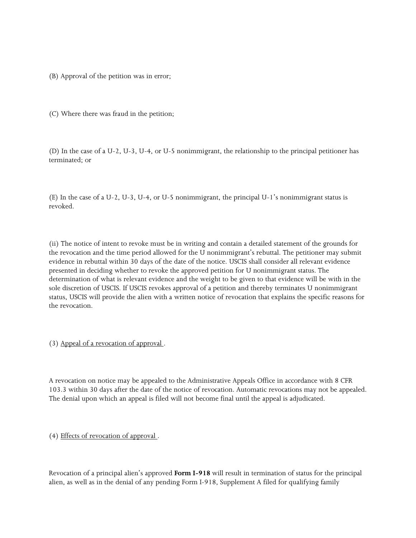(B) Approval of the petition was in error;

(C) Where there was fraud in the petition;

(D) In the case of a U-2, U-3, U-4, or U-5 nonimmigrant, the relationship to the principal petitioner has terminated; or

(E) In the case of a U-2, U-3, U-4, or U-5 nonimmigrant, the principal U-1's nonimmigrant status is revoked.

(ii) The notice of intent to revoke must be in writing and contain a detailed statement of the grounds for the revocation and the time period allowed for the U nonimmigrant's rebuttal. The petitioner may submit evidence in rebuttal within 30 days of the date of the notice. USCIS shall consider all relevant evidence presented in deciding whether to revoke the approved petition for U nonimmigrant status. The determination of what is relevant evidence and the weight to be given to that evidence will be with in the sole discretion of USCIS. If USCIS revokes approval of a petition and thereby terminates U nonimmigrant status, USCIS will provide the alien with a written notice of revocation that explains the specific reasons for the revocation.

(3) Appeal of a revocation of approval .

A revocation on notice may be appealed to the Administrative Appeals Office in accordance with 8 CFR 103.3 within 30 days after the date of the notice of revocation. Automatic revocations may not be appealed. The denial upon which an appeal is filed will not become final until the appeal is adjudicated.

(4) Effects of revocation of approval .

Revocation of a principal alien's approved **Form I-918** will result in termination of status for the principal alien, as well as in the denial of any pending Form I-918, Supplement A filed for qualifying family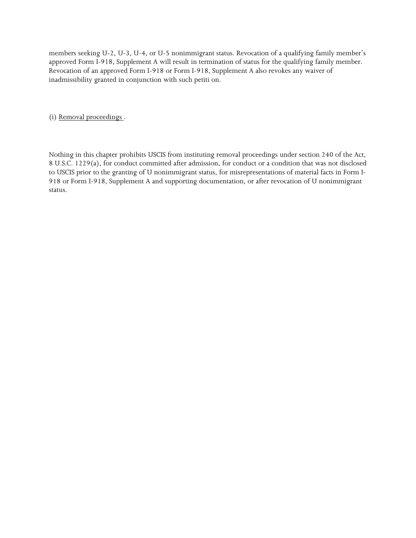members seeking U-2, U-3, U-4, or U-5 nonimmigrant status. Revocation of a qualifying family member's approved Form I-918, Supplement A will result in termination of status for the qualifying family member. Revocation of an approved Form I-918 or Form I-918, Supplement A also revokes any waiver of inadmissibility granted in conjunction with such petiti on.

(i) Removal proceedings .

Nothing in this chapter prohibits USCIS from instituting removal proceedings under section 240 of the Act, 8 U.S.C. 1229(a), for conduct committed after admission, for conduct or a condition that was not disclosed to USCIS prior to the granting of U nonimmigrant status, for misrepresentations of material facts in Form I-918 or Form I-918, Supplement A and supporting documentation, or after revocation of U nonimmigrant status.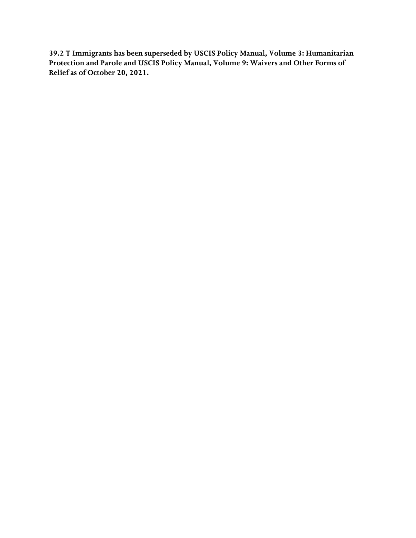**39.2 T Immigrants has been superseded by USCIS Policy Manual, Volume 3: Humanitarian Protection and Parole and USCIS Policy Manual, Volume 9: Waivers and Other Forms of Relief as of October 20, 2021.**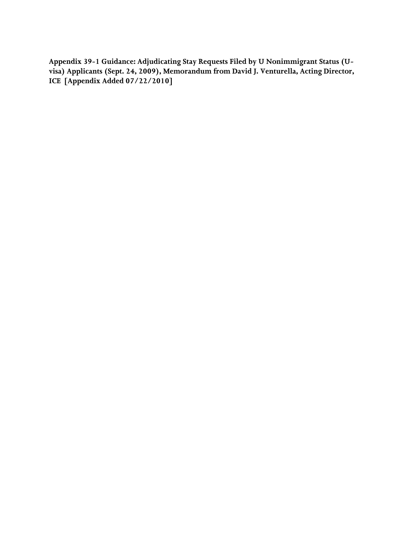**ICE [Appendix Added 07/22/2010] Appendix 39-1 Guidance: Adjudicating Stay Requests Filed by U Nonimmigrant Status (Uvisa) Applicants (Sept. 24, 2009), Memorandum from David J. Venturella, Acting Director,**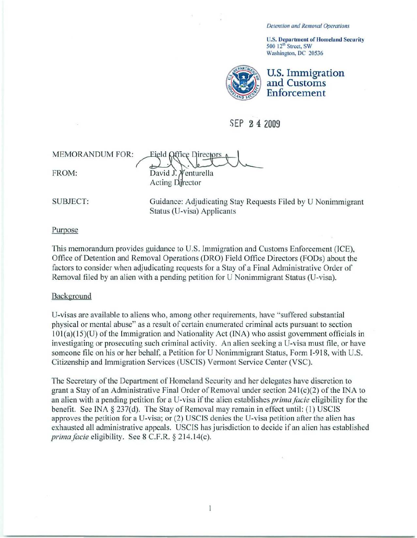Detention and Removal Operations

U.S. Department of Homeland Security 500 12<sup>th</sup> Street, SW Washington. DC 20536



# SEP 2 4 2009

ce Directors MEMORANDUM rOR:  $\perp$   $\vee$ FROM: David J. Venturella **Acting Director** 

SUBJECT:

Guidance: Adjudicating Stay Requests Filed by U Nonimmigrant Status (U-visa) Applicants

Purpose

This memorandum provides guidance to U.S. Immigration and Customs Enforcement (ICE). Office of Detention and Removal Operations (DRO) Field Office Directors (FODs) about the factors to consider when adjudicating requests for a Stay of a Final Administrative Order of Removal filed by an alien with a pending petition for U Nonimmigrant Status (U-visa).

#### Background

U-visas are available to aliens who, among other requirements, have "suffered substantial" physical or mental abuse" as a result of certain enumerated criminal acts pursuant to section  $101(a)(15)(U)$  of the Immigration and Nationality Act (INA) who assist government officials in investigating or prosecuting such criminal activity. An alien seeking a U-visa must file, or have someone file on his or her behalf, a Petition for U Nonimmigrant Status, Form I-918, with U.S. Citizenship and Immigration Services (USCIS) Vermont Service Center (VSC).

The Secretary of the Department of Homeland Security and her delegates have discretion to grant a Stay of an Administrative Final Order of Removal under section  $241(c)(2)$  of the INA to an alien with a pending petition for a U-visa if the alien establishes *prima facie* eligibility for the benefit. See INA  $\S 237(d)$ . The Stay of Removal may remain in effect until: (1) USCIS approves the petition for a U-visa; or (2) USCIS denies the U-visa petition after the alien has exhausted all administrative appeals. USCIS has jurisdiction to decide if an alien has established *prima facie eligibility.* See 8 C.F.R. § 214.14(c).

 $\mathbf{1}$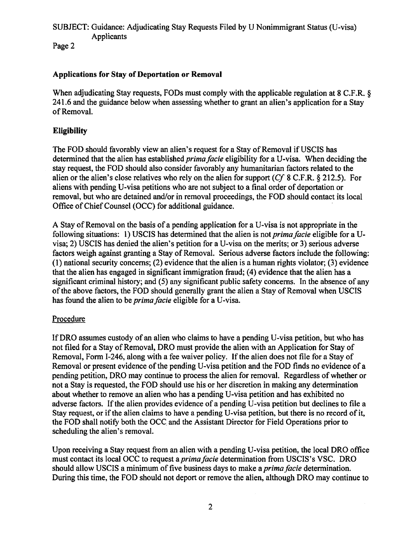# SUBJECT: Guidance: Adjudicating Stay Requests Filed by U Nonimmigrant Status (U-visa) Applicants

Page 2

# Applications for Stay of Deportation or Removal

When adjudicating Stay requests, FODs must comply with the applicable regulation at 8 C.F.R.  $\delta$ 241.6 and the guidance below when assessing whether to grant an alien's application for a Stay of Removal.

# **Eligibility**

The FOD should favorably view an alien's request for a Stay of Removal if USCIS has determined that the alien has established *prima facie* eligibility for a U-visa. When deciding the stay request, the FOD should also consider favorably any humanitarian factors related to the alien or the alien's close relatives who rely on the alien for support *(Cf* 8 C.F.R. § 212.5). For aliens with pending U-visa petitions who are not subject to a final order of deportation or removal, but who are detained and/or in removal proceedings, the FOD should contact its local Office of Chief Counsel (OCC) for additional guidance.

A Stay of Removal on the basis of a pending application for a U-visa is not appropriate in the following situations: 1) USCIS has determined that the alien is not *prima facie* eligible for a Uvisa; 2) USCIS has denied the alien's petition for a U-visa on the merits; or 3) serious adverse factors weigh against granting a Stay of Removal. Serious adverse factors include the following: (1) national security concerns; (2) evidence that the alien is a human rights violator; (3) evidence that the alien has engaged in significant immigration fraud; (4) evidence that the alien has a significant criminal history; and (5) any significant public safety concerns. In the absence of any ofthe above factors, the FOD should generally grant the alien a Stay of Removal when USCIS has found the alien to be *prima facie* eligible for a U-visa.

# Procedure

If DRO assumes custody of an alien who claims to have a pending U-visa petition, but who has not filed for a Stay of Removal, DRO must provide the alien with an Application for Stay of Removal, Form 1-246, along with a fee waiver policy. If the alien does not file for a Stay of Removal or present evidence of the pending U-visa petition and the FOD finds no evidence of a pending petition, DRO may continue to process the alien for removal. Regardless of whether or not a Stay is requested, the FOD should use his or her discretion in making any determination about whether to remove an alien who has a pending U-visa petition and has exhibited no adverse factors. If the alien provides evidence of a pending U-visa petition but declines to file a Stay request, or if the alien claims to have a pending U-visa petition, but there is no record of it, the FOD shall notify both the OCC and the Assistant Director for Field Operations prior to scheduling the alien's removal.

Upon receiving a Stay request from an alien with a pending U-visa petition, the local DRO office must contact its local OCC to request a *prima facie* determination from USCIS's VSC. DRO should allow USCIS a minimum of five business days to make a *prima facie* determination. During this time, the FOD should not deport or remove the alien, although DRO may continue to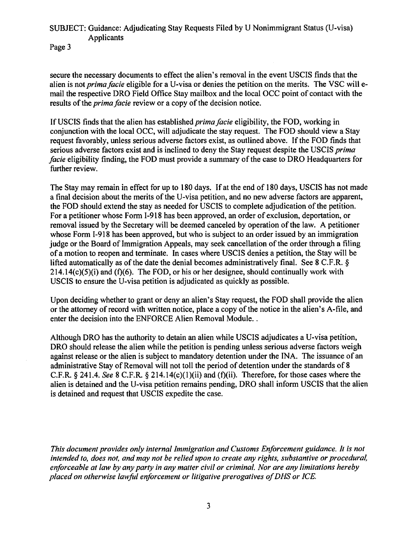# SUBJECT: Guidance: Adjudicating Stay Requests Filed by U Nonimmigrant Status (U-visa) Applicants

Page 3

secure the necessary documents to effect the alien's removal in the event USCIS finds that the alien is not *prima facie* eligible for a U-visa or denies the petition on the merits. The VSC will email the respective DRO Field Office Stay mailbox and the local OCC point of contact with the results of the *prima facie* review or a copy of the decision notice.

If USCIS finds that the alien has established *prima facie* eligibility, the FOD, working in conjunction with the local OCC, will adjudicate the stay request. The FOD should view a Stay request favorably, unless serious adverse factors exist, as outlined above. If the FOD finds that serious adverse factors exist and is inclined to deny the Stay request despite the USCIS *prima facie* eligibility finding, the FOD must provide a summary of the case to DRO Headquarters for further review.

The Stay may remain in effect for up to 180 days. If at the end of 180 days, USCIS has not made a final decision about the merits of the U-visa petition, and no new adverse factors are apparent, the FOD should extend the stay as needed for USCIS to complete adjudication of the petition. For a petitioner whose Form I-918 has been approved, an order of exclusion, deportation, or removal issued by the Secretary will be deemed canceled by operation of the law. A petitioner whose Form I-918 has been approved, but who is subject to an order issued by an immigration judge or the Board of Immigration Appeals, may seek cancellation of the order through a filing of a motion to reopen and terminate. In cases where USCIS denies a petition, the Stay will be lifted automatically as of the date the denial becomes administratively final. See 8 C.F.R. §  $214.14(c)(5)(i)$  and (f)(6). The FOD, or his or her designee, should continually work with USCIS to ensure the U-visa petition is adjudicated as quickly as possible.

Upon deciding whether to grant or deny an alien's Stay request, the FOD shall provide the alien or the attorney of record with written notice, place a copy of the notice in the alien's A-file, and enter the decision into the ENFORCE Alien Removal Module...

Although DRO has the authority to detain an alien while USCIS adjudicates a U-visa petition, DRO should release the alien while the petition is pending unless serious adverse factors weigh against release or the alien is subject to mandatory detention under the INA. The issuance of an administrative Stay of Removal will not toll the period of detention under the standards of 8 C.F.R. § 241.4. *See* 8 C.F.R. § 214. 14(c)(1)(ii) and (t)(ii). Therefore, for those cases where the alien is detained and the U-visa petition remains pending, DRO shall inform USCIS that the alien is detained and request that USCIS expedite the case.

*This document provides only internal Immigration and Customs Enforcement guidance. It is not intended to, does not, and may not be relied upon to create any rights, substantive or procedural, enforceable at law by any party in any matter civil or criminal. Nor are any limitations hereby placed on otherwise lawful enforcement or litigative prerogatives ofDHS or ICE.*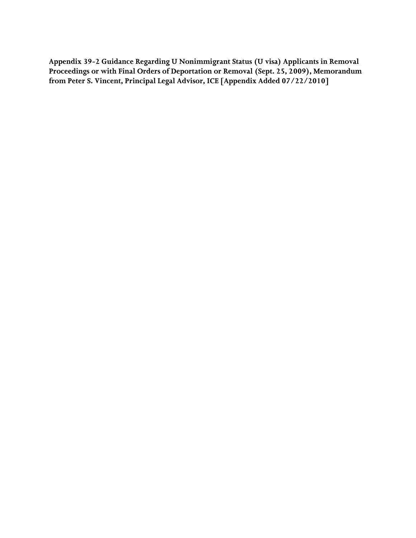**from Peter S. Vincent, Principal Legal Advisor, ICE [Appendix Added 07/22/2010] Appendix 39-2 Guidance Regarding U Nonimmigrant Status (U visa) Applicants in Removal Proceedings or with Final Orders of Deportation or Removal (Sept. 25, 2009), Memorandum**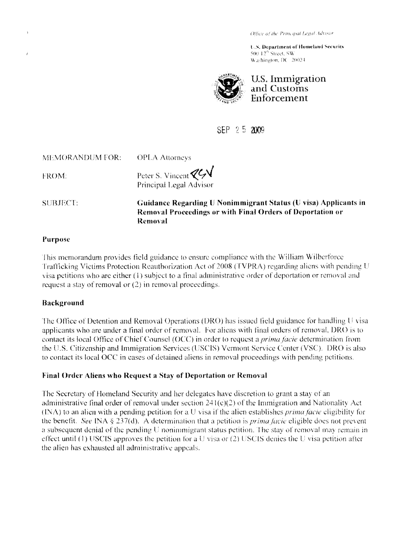Office of the Principal Legal Advisor

**U.S. Department of Homeland Security**  $500\,12^{16}$  Street,  $SW$ Washington, DC 20024



**U.S.lInuligration and Customs Enforcement** 

SEP 25 2009

| MEMORANDUM FOR: | <b>OPLA</b> Attorneys                           |
|-----------------|-------------------------------------------------|
| FROM:           | Peter S. Vincent ZGV<br>Principal Legal Advisor |
|                 |                                                 |

SUBJECT: **Guidance Regarding U Nonimmigrant Status (U visa) Applicants in Removal Proceedings or with Final Orders of Deportation or Removal** 

### **Purpose**

ż

Ihis memorandum provides licld guidance to ensure compliance wlth the William Wilberforce Trafficking Victims Protection Reauthorization Act of 2008 (TVPRA) regarding aliens with pending U visa petitions who are either (1) subject to a final administrative order of deportation or removal and request a stay of removal or  $(2)$  in removal proceedings.

# **Background**

The Office of Detention and Removal Operations (DRO) has issued field guidance for handling U visa applicants who are under a final order of removal. For aliens with final orders of removal, DRO is to contact its local Office of Chief Counsel (OCC) in order to request a *prima facie* determination from the U.S. Citizenship and Immigration Services (USCIS) Vermont Service Center (VSC). DRO is also to contact its local OCC in cases of detained aliens in removal proceedings with pending petitions.

# **Final Order Aliens who Request a Stay of Deportation or Removal**

rhe Secretary of Homeland Security and her delegates have discretion to grant a stay of an administrative final order of removal under section  $241(c)(2)$  of the Immigration and Nationality Act  $(N\Lambda)$  to an alien with a pending petition for a U visa if the alien establishes *prima facie* eligibility for the benefit *5lee* INA § 237(d). A determination that a petition is *prima/acic* eligible does not prevent a subsequent denial of the pending U nonimmigrant status petition. The stay of removal may remain in effect until (1) USCIS approves the petition for a U visa or (2) USCIS denies the U visa petition after the alien has exhausted all administrative appeals.